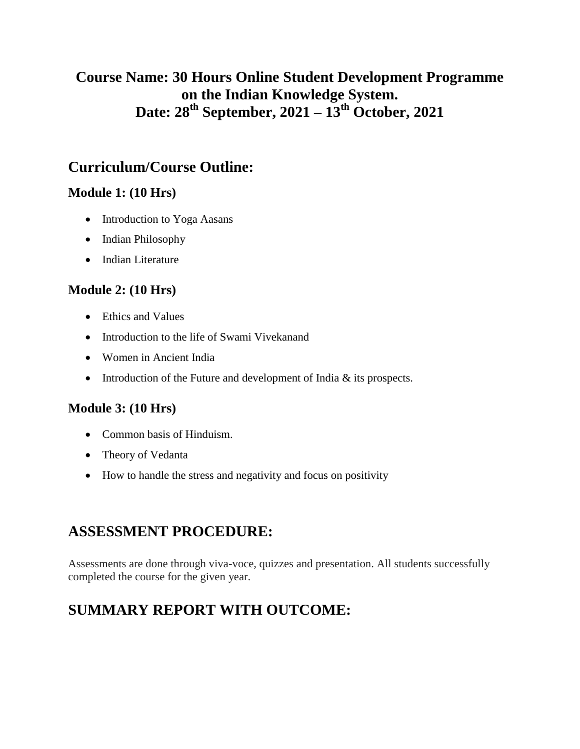## **Course Name: 30 Hours Online Student Development Programme on the Indian Knowledge System. Date: 28th September, 2021 – 13th October, 2021**

## **Curriculum/Course Outline:**

#### **Module 1: (10 Hrs)**

- Introduction to Yoga Aasans
- Indian Philosophy
- Indian Literature

### **Module 2: (10 Hrs)**

- Ethics and Values
- Introduction to the life of Swami Vivekanand
- Women in Ancient India
- Introduction of the Future and development of India  $\&$  its prospects.

#### **Module 3: (10 Hrs)**

- Common basis of Hinduism.
- Theory of Vedanta
- How to handle the stress and negativity and focus on positivity

## **ASSESSMENT PROCEDURE:**

Assessments are done through viva-voce, quizzes and presentation. All students successfully completed the course for the given year.

# **SUMMARY REPORT WITH OUTCOME:**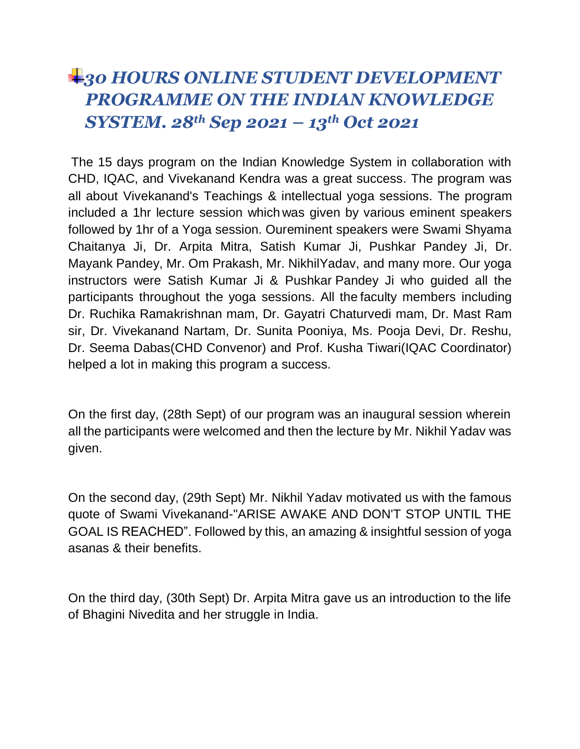# *30 HOURS ONLINE STUDENT DEVELOPMENT PROGRAMME ON THE INDIAN KNOWLEDGE SYSTEM. 28th Sep 2021 – 13th Oct 2021*

The 15 days program on the Indian Knowledge System in collaboration with CHD, IQAC, and Vivekanand Kendra was a great success. The program was all about Vivekanand's Teachings & intellectual yoga sessions. The program included a 1hr lecture session which was given by various eminent speakers followed by 1hr of a Yoga session. Oureminent speakers were Swami Shyama Chaitanya Ji, Dr. Arpita Mitra, Satish Kumar Ji, Pushkar Pandey Ji, Dr. Mayank Pandey, Mr. Om Prakash, Mr. NikhilYadav, and many more. Our yoga instructors were Satish Kumar Ji & Pushkar Pandey Ji who guided all the participants throughout the yoga sessions. All the faculty members including Dr. Ruchika Ramakrishnan mam, Dr. Gayatri Chaturvedi mam, Dr. Mast Ram sir, Dr. Vivekanand Nartam, Dr. Sunita Pooniya, Ms. Pooja Devi, Dr. Reshu, Dr. Seema Dabas(CHD Convenor) and Prof. Kusha Tiwari(IQAC Coordinator) helped a lot in making this program a success.

On the first day, (28th Sept) of our program was an inaugural session wherein all the participants were welcomed and then the lecture by Mr. Nikhil Yadav was given.

On the second day, (29th Sept) Mr. Nikhil Yadav motivated us with the famous quote of Swami Vivekanand-"ARISE AWAKE AND DON'T STOP UNTIL THE GOAL IS REACHED". Followed by this, an amazing & insightful session of yoga asanas & their benefits.

On the third day, (30th Sept) Dr. Arpita Mitra gave us an introduction to the life of Bhagini Nivedita and her struggle in India.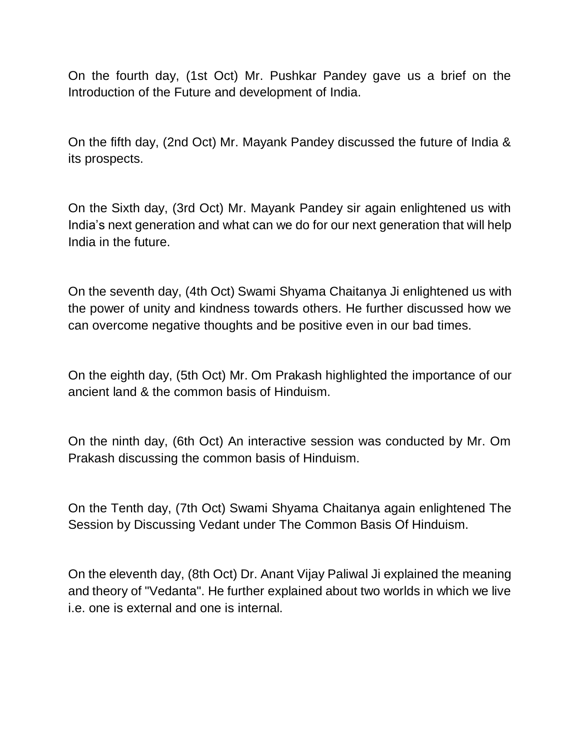On the fourth day, (1st Oct) Mr. Pushkar Pandey gave us a brief on the Introduction of the Future and development of India.

On the fifth day, (2nd Oct) Mr. Mayank Pandey discussed the future of India & its prospects.

On the Sixth day, (3rd Oct) Mr. Mayank Pandey sir again enlightened us with India's next generation and what can we do for our next generation that will help India in the future.

On the seventh day, (4th Oct) Swami Shyama Chaitanya Ji enlightened us with the power of unity and kindness towards others. He further discussed how we can overcome negative thoughts and be positive even in our bad times.

On the eighth day, (5th Oct) Mr. Om Prakash highlighted the importance of our ancient land & the common basis of Hinduism.

On the ninth day, (6th Oct) An interactive session was conducted by Mr. Om Prakash discussing the common basis of Hinduism.

On the Tenth day, (7th Oct) Swami Shyama Chaitanya again enlightened The Session by Discussing Vedant under The Common Basis Of Hinduism.

On the eleventh day, (8th Oct) Dr. Anant Vijay Paliwal Ji explained the meaning and theory of "Vedanta". He further explained about two worlds in which we live i.e. one is external and one is internal.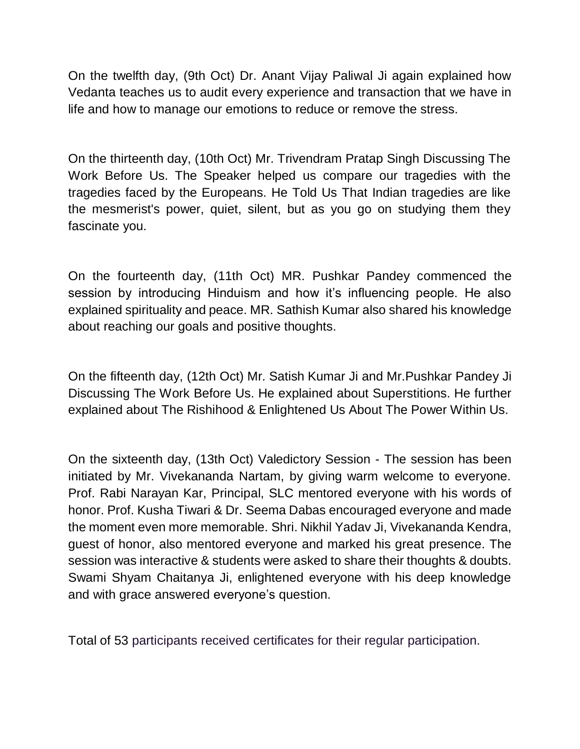On the twelfth day, (9th Oct) Dr. Anant Vijay Paliwal Ji again explained how Vedanta teaches us to audit every experience and transaction that we have in life and how to manage our emotions to reduce or remove the stress.

On the thirteenth day, (10th Oct) Mr. Trivendram Pratap Singh Discussing The Work Before Us. The Speaker helped us compare our tragedies with the tragedies faced by the Europeans. He Told Us That Indian tragedies are like the mesmerist's power, quiet, silent, but as you go on studying them they fascinate you.

On the fourteenth day, (11th Oct) MR. Pushkar Pandey commenced the session by introducing Hinduism and how it's influencing people. He also explained spirituality and peace. MR. Sathish Kumar also shared his knowledge about reaching our goals and positive thoughts.

On the fifteenth day, (12th Oct) Mr. Satish Kumar Ji and Mr.Pushkar Pandey Ji Discussing The Work Before Us. He explained about Superstitions. He further explained about The Rishihood & Enlightened Us About The Power Within Us.

On the sixteenth day, (13th Oct) Valedictory Session - The session has been initiated by Mr. Vivekananda Nartam, by giving warm welcome to everyone. Prof. Rabi Narayan Kar, Principal, SLC mentored everyone with his words of honor. Prof. Kusha Tiwari & Dr. Seema Dabas encouraged everyone and made the moment even more memorable. Shri. Nikhil Yadav Ji, Vivekananda Kendra, guest of honor, also mentored everyone and marked his great presence. The session was interactive & students were asked to share their thoughts & doubts. Swami Shyam Chaitanya Ji, enlightened everyone with his deep knowledge and with grace answered everyone's question.

Total of 53 participants received certificates for their regular participation.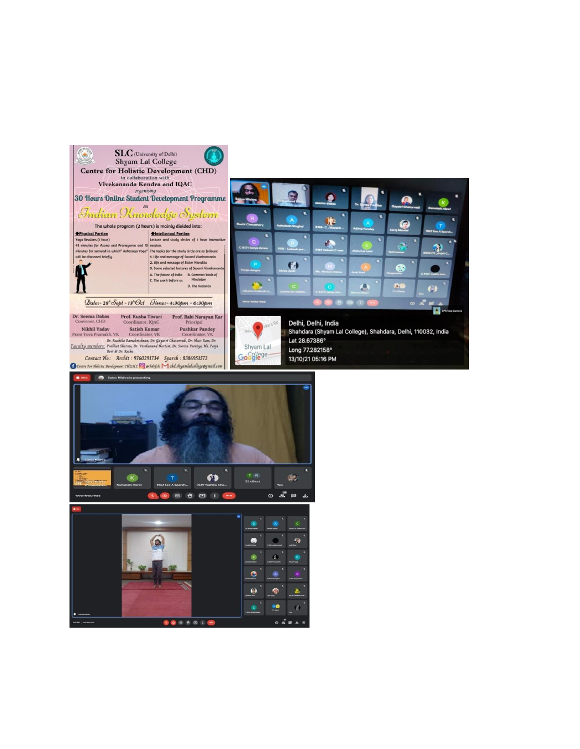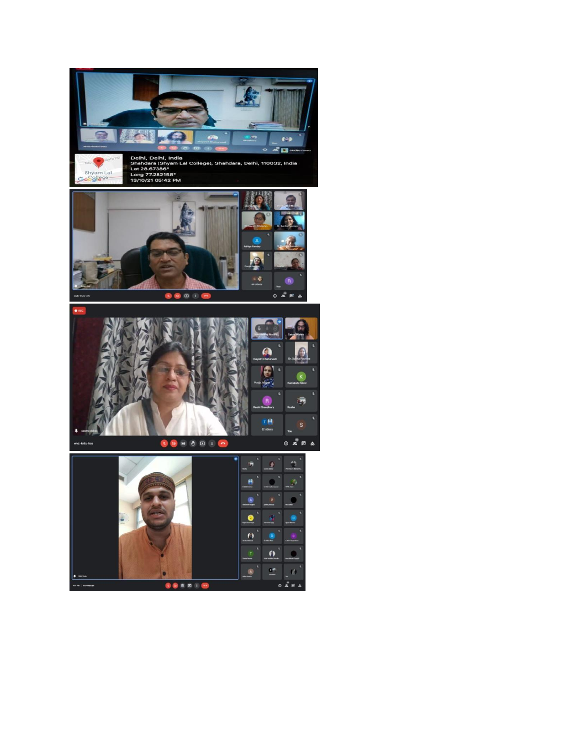